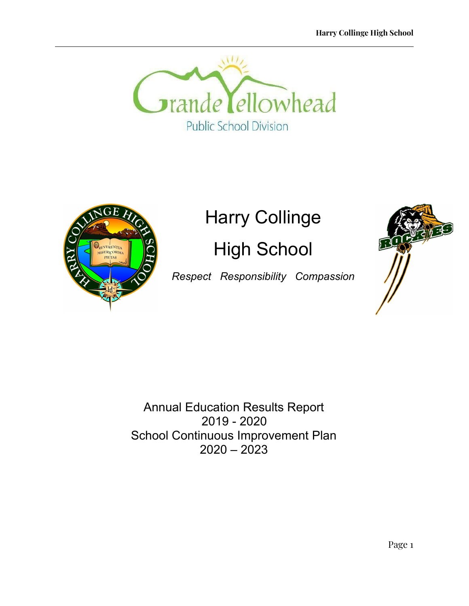



# Harry Collinge

High School

*Respect Responsibility Compassion*



Annual Education Results Report 2019 - 2020 School Continuous Improvement Plan 2020 – 2023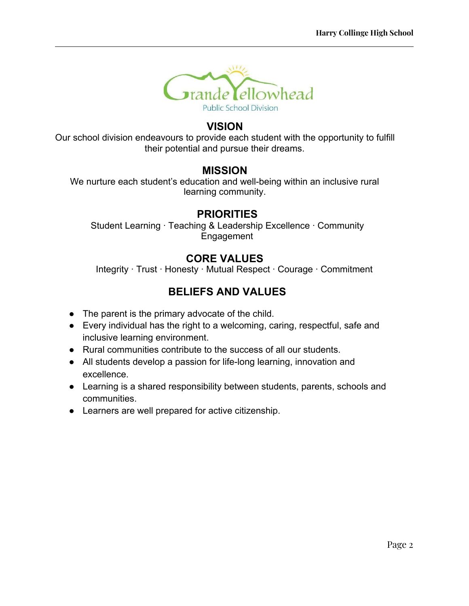

### **VISION**

Our school division endeavours to provide each student with the opportunity to fulfill their potential and pursue their dreams.

### **MISSION**

We nurture each student's education and well-being within an inclusive rural learning community.

### **PRIORITIES**

Student Learning · Teaching & Leadership Excellence · Community Engagement

### **CORE VALUES**

Integrity · Trust · Honesty · Mutual Respect · Courage · Commitment

### **BELIEFS AND VALUES**

- The parent is the primary advocate of the child.
- Every individual has the right to a welcoming, caring, respectful, safe and inclusive learning environment.
- Rural communities contribute to the success of all our students.
- All students develop a passion for life-long learning, innovation and excellence.
- Learning is a shared responsibility between students, parents, schools and communities.
- Learners are well prepared for active citizenship.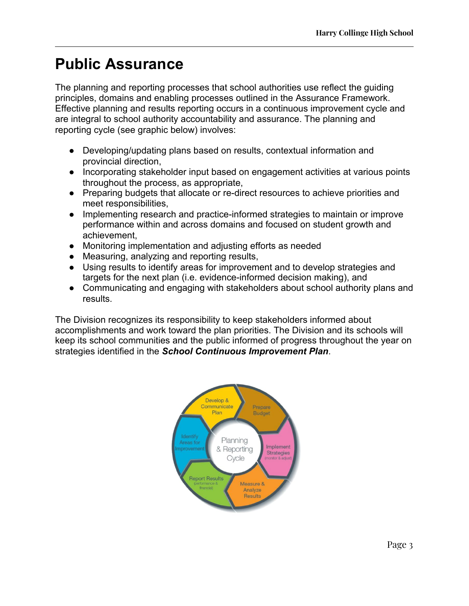# **Public Assurance**

The planning and reporting processes that school authorities use reflect the guiding principles, domains and enabling processes outlined in the Assurance Framework. Effective planning and results reporting occurs in a continuous improvement cycle and are integral to school authority accountability and assurance. The planning and reporting cycle (see graphic below) involves:

- Developing/updating plans based on results, contextual information and provincial direction,
- Incorporating stakeholder input based on engagement activities at various points throughout the process, as appropriate,
- Preparing budgets that allocate or re-direct resources to achieve priorities and meet responsibilities,
- Implementing research and practice-informed strategies to maintain or improve performance within and across domains and focused on student growth and achievement,
- Monitoring implementation and adjusting efforts as needed
- Measuring, analyzing and reporting results,
- Using results to identify areas for improvement and to develop strategies and targets for the next plan (i.e. evidence-informed decision making), and
- Communicating and engaging with stakeholders about school authority plans and results.

The Division recognizes its responsibility to keep stakeholders informed about accomplishments and work toward the plan priorities. The Division and its schools will keep its school communities and the public informed of progress throughout the year on strategies identified in the *School Continuous Improvement Plan*.

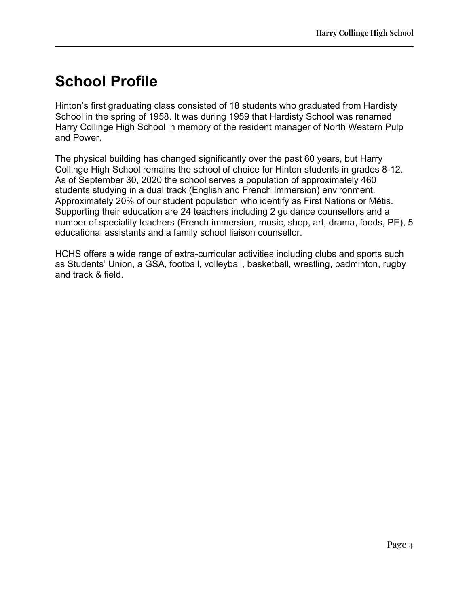# **School Profile**

Hinton's first graduating class consisted of 18 students who graduated from Hardisty School in the spring of 1958. It was during 1959 that Hardisty School was renamed Harry Collinge High School in memory of the resident manager of North Western Pulp and Power.

The physical building has changed significantly over the past 60 years, but Harry Collinge High School remains the school of choice for Hinton students in grades 8-12. As of September 30, 2020 the school serves a population of approximately 460 students studying in a dual track (English and French Immersion) environment. Approximately 20% of our student population who identify as First Nations or Métis. Supporting their education are 24 teachers including 2 guidance counsellors and a number of speciality teachers (French immersion, music, shop, art, drama, foods, PE), 5 educational assistants and a family school liaison counsellor.

HCHS offers a wide range of extra-curricular activities including clubs and sports such as Students' Union, a GSA, football, volleyball, basketball, wrestling, badminton, rugby and track & field.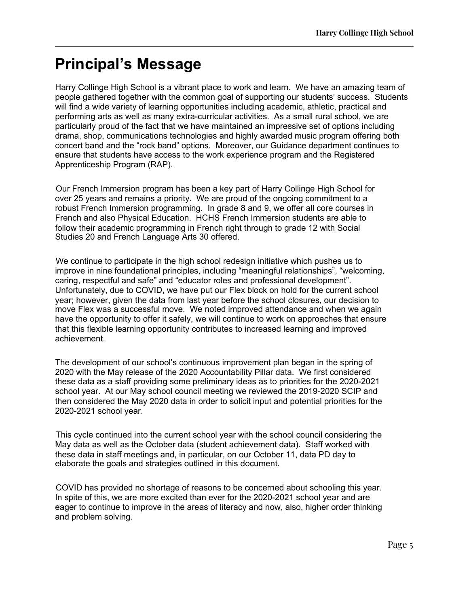# **Principal's Message**

Harry Collinge High School is a vibrant place to work and learn. We have an amazing team of people gathered together with the common goal of supporting our students' success. Students will find a wide variety of learning opportunities including academic, athletic, practical and performing arts as well as many extra-curricular activities. As a small rural school, we are particularly proud of the fact that we have maintained an impressive set of options including drama, shop, communications technologies and highly awarded music program offering both concert band and the "rock band" options. Moreover, our Guidance department continues to ensure that students have access to the work experience program and the Registered Apprenticeship Program (RAP).

Our French Immersion program has been a key part of Harry Collinge High School for over 25 years and remains a priority. We are proud of the ongoing commitment to a robust French Immersion programming. In grade 8 and 9, we offer all core courses in French and also Physical Education. HCHS French Immersion students are able to follow their academic programming in French right through to grade 12 with Social Studies 20 and French Language Arts 30 offered.

We continue to participate in the high school redesign initiative which pushes us to improve in nine foundational principles, including "meaningful relationships", "welcoming, caring, respectful and safe" and "educator roles and professional development". Unfortunately, due to COVID, we have put our Flex block on hold for the current school year; however, given the data from last year before the school closures, our decision to move Flex was a successful move. We noted improved attendance and when we again have the opportunity to offer it safely, we will continue to work on approaches that ensure that this flexible learning opportunity contributes to increased learning and improved achievement.

The development of our school's continuous improvement plan began in the spring of 2020 with the May release of the 2020 Accountability Pillar data. We first considered these data as a staff providing some preliminary ideas as to priorities for the 2020-2021 school year. At our May school council meeting we reviewed the 2019-2020 SCIP and then considered the May 2020 data in order to solicit input and potential priorities for the 2020-2021 school year.

This cycle continued into the current school year with the school council considering the May data as well as the October data (student achievement data). Staff worked with these data in staff meetings and, in particular, on our October 11, data PD day to elaborate the goals and strategies outlined in this document.

COVID has provided no shortage of reasons to be concerned about schooling this year. In spite of this, we are more excited than ever for the 2020-2021 school year and are eager to continue to improve in the areas of literacy and now, also, higher order thinking and problem solving.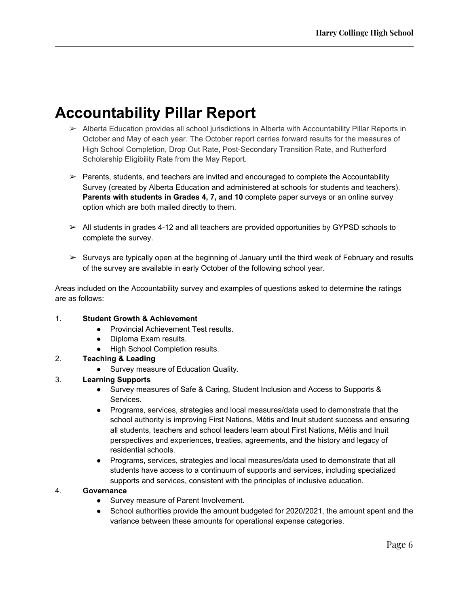# **Accountability Pillar Report**

- $\triangleright$  Alberta Education provides all school jurisdictions in Alberta with Accountability Pillar Reports in October and May of each year. The October report carries forward results for the measures of High School Completion, Drop Out Rate, Post-Secondary Transition Rate, and Rutherford Scholarship Eligibility Rate from the May Report.
- ➢ Parents, students, and teachers are invited and encouraged to complete the Accountability Survey (created by Alberta Education and administered at schools for students and teachers). **Parents with students in Grades 4, 7, and 10** complete paper surveys or an online survey option which are both mailed directly to them.
- ➢ All students in grades 4-12 and all teachers are provided opportunities by GYPSD schools to complete the survey.
- $\triangleright$  Surveys are typically open at the beginning of January until the third week of February and results of the survey are available in early October of the following school year.

Areas included on the Accountability survey and examples of questions asked to determine the ratings are as follows:

#### 1**. Student Growth & Achievement**

- Provincial Achievement Test results.
- Diploma Exam results.
- High School Completion results.

#### 2. **Teaching & Leading**

● Survey measure of Education Quality.

#### 3. **Learning Supports**

- Survey measures of Safe & Caring, Student Inclusion and Access to Supports & Services.
- Programs, services, strategies and local measures/data used to demonstrate that the school authority is improving First Nations, Métis and Inuit student success and ensuring all students, teachers and school leaders learn about First Nations, Métis and Inuit perspectives and experiences, treaties, agreements, and the history and legacy of residential schools.
- Programs, services, strategies and local measures/data used to demonstrate that all students have access to a continuum of supports and services, including specialized supports and services, consistent with the principles of inclusive education.

#### 4. **Governance**

- Survey measure of Parent Involvement.
- School authorities provide the amount budgeted for 2020/2021, the amount spent and the variance between these amounts for operational expense categories.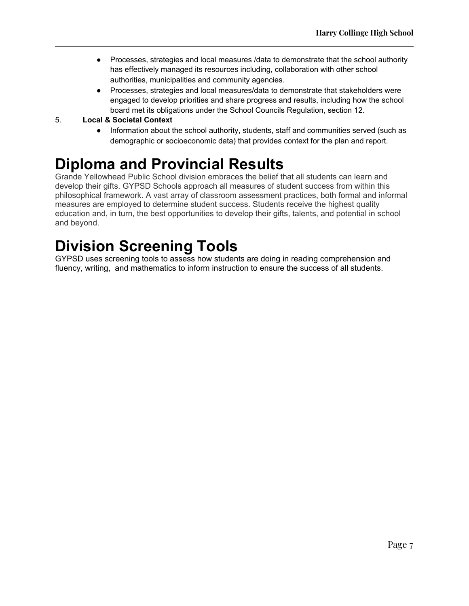- Processes, strategies and local measures /data to demonstrate that the school authority has effectively managed its resources including, collaboration with other school authorities, municipalities and community agencies.
- Processes, strategies and local measures/data to demonstrate that stakeholders were engaged to develop priorities and share progress and results, including how the school board met its obligations under the School Councils Regulation, section 12.

#### 5. **Local & Societal Context**

● Information about the school authority, students, staff and communities served (such as demographic or socioeconomic data) that provides context for the plan and report.

# **Diploma and Provincial Results**

Grande Yellowhead Public School division embraces the belief that all students can learn and develop their gifts. GYPSD Schools approach all measures of student success from within this philosophical framework. A vast array of classroom assessment practices, both formal and informal measures are employed to determine student success. Students receive the highest quality education and, in turn, the best opportunities to develop their gifts, talents, and potential in school and beyond.

# **Division Screening Tools**

GYPSD uses screening tools to assess how students are doing in reading comprehension and fluency, writing, and mathematics to inform instruction to ensure the success of all students.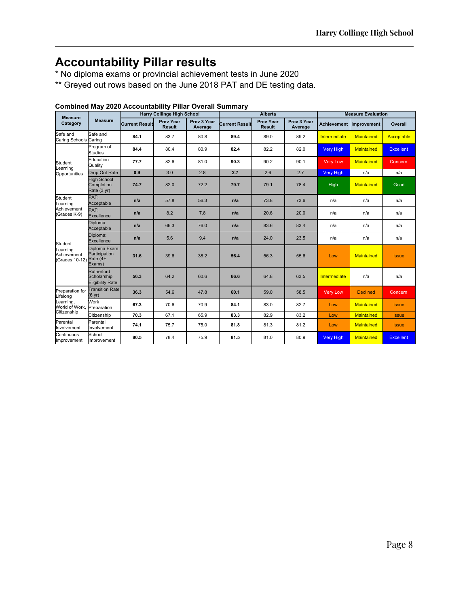### **Accountability Pillar results**

\* No diploma exams or provincial achievement tests in June 2020

\*\* Greyed out rows based on the June 2018 PAT and DE testing data.

| <b>Measure</b><br>Category                                                            | <b>Measure</b>                                       | <b>Harry Collinge High School</b> |                            |                        | <b>Alberta</b>        |                                   |                        | <b>Measure Evaluation</b> |                           |                  |
|---------------------------------------------------------------------------------------|------------------------------------------------------|-----------------------------------|----------------------------|------------------------|-----------------------|-----------------------------------|------------------------|---------------------------|---------------------------|------------------|
|                                                                                       |                                                      | <b>Current Result</b>             | Prev Year<br><b>Result</b> | Prev 3 Year<br>Average | <b>Current Result</b> | <b>Prev Year</b><br><b>Result</b> | Prev 3 Year<br>Average |                           | Achievement   Improvement | Overall          |
| Safe and<br><b>Caring Schools</b>                                                     | Safe and<br>Caring                                   | 84.1                              | 83.7                       | 80.8                   | 89.4                  | 89.0                              | 89.2                   | Intermediate              | <b>Maintained</b>         | Acceptable       |
| Student<br>Learning<br>Opportunities                                                  | Program of<br><b>Studies</b>                         | 84.4                              | 80.4                       | 80.9                   | 82.4                  | 82.2                              | 82.0                   | <b>Very High</b>          | Maintained                | <b>Excellent</b> |
|                                                                                       | Education<br>Quality                                 | 77.7                              | 82.6                       | 81.0                   | 90.3                  | 90.2                              | 90.1                   | <b>Very Low</b>           | <b>Maintained</b>         | Concern          |
|                                                                                       | Drop Out Rate                                        | 0.9                               | 3.0                        | 2.8                    | 2.7                   | 2.6                               | 2.7                    | <b>Very High</b>          | n/a                       | n/a              |
|                                                                                       | <b>High School</b><br>Completion<br>Rate (3 yr)      | 74.7                              | 82.0                       | 72.2                   | 79.7                  | 79.1                              | 78.4                   | High                      | <b>Maintained</b>         | Good             |
| Student<br>Learning<br>Achievement<br>(Grades K-9)                                    | PAT:<br>Acceptable                                   | n/a                               | 57.8                       | 56.3                   | n/a                   | 73.8                              | 73.6                   | n/a                       | n/a                       | n/a              |
|                                                                                       | PAT:<br><b>Excellence</b>                            | n/a                               | 8.2                        | 7.8                    | n/a                   | 20.6                              | 20.0                   | n/a                       | n/a                       | n/a              |
| Student<br>Learning<br>Achievement<br>(Grades 10-12)                                  | Diploma:<br>Acceptable                               | n/a                               | 66.3                       | 76.0                   | n/a                   | 83.6                              | 83.4                   | n/a                       | n/a                       | n/a              |
|                                                                                       | Diploma:<br>Excellence                               | n/a                               | 5.6                        | 9.4                    | n/a                   | 24.0                              | 23.5                   | n/a                       | n/a                       | n/a              |
|                                                                                       | Diploma Exam<br>Participation<br>Rate (4+<br>Exams)  | 31.6                              | 39.6                       | 38.2                   | 56.4                  | 56.3                              | 55.6                   | Low                       | <b>Maintained</b>         | <b>Issue</b>     |
|                                                                                       | Rutherford<br>Scholarship<br><b>Eligibility Rate</b> | 56.3                              | 64.2                       | 60.6                   | 66.6                  | 64.8                              | 63.5                   | Intermediate              | n/a                       | n/a              |
| Preparation for<br>Lifelong<br>Learning,<br>World of Work, Preparation<br>Citizenship | <b>Transition Rate</b><br>(6 yr)                     | 36.3                              | 54.6                       | 47.8                   | 60.1                  | 59.0                              | 58.5                   | <b>Very Low</b>           | <b>Declined</b>           | Concern          |
|                                                                                       | Work                                                 | 67.3                              | 70.6                       | 70.9                   | 84.1                  | 83.0                              | 82.7                   | Low                       | <b>Maintained</b>         | <b>Issue</b>     |
|                                                                                       | Citizenship                                          | 70.3                              | 67.1                       | 65.9                   | 83.3                  | 82.9                              | 83.2                   | Low                       | <b>Maintained</b>         | <b>Issue</b>     |
| Parental<br>Involvement                                                               | Parental<br>Involvement                              | 74.1                              | 75.7                       | 75.0                   | 81.8                  | 81.3                              | 81.2                   | Low                       | <b>Maintained</b>         | <b>Issue</b>     |
| Continuous<br>Improvement                                                             | School<br>Improvement                                | 80.5                              | 78.4                       | 75.9                   | 81.5                  | 81.0                              | 80.9                   | <b>Very High</b>          | <b>Maintained</b>         | <b>Excellent</b> |

#### **Combined May 2020 Accountability Pillar Overall Summary**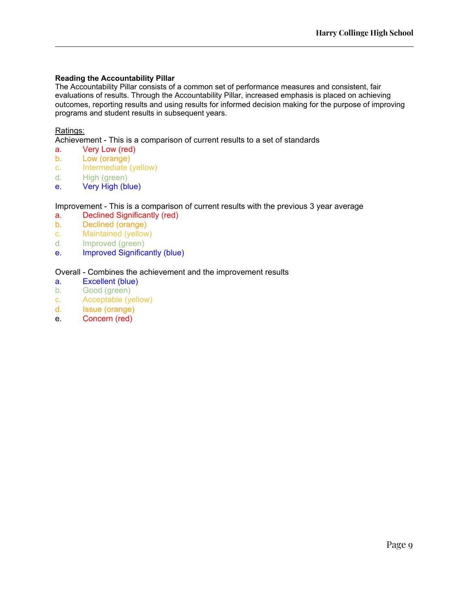#### **Reading the Accountability Pillar**

The Accountability Pillar consists of a common set of performance measures and consistent, fair evaluations of results. Through the Accountability Pillar, increased emphasis is placed on achieving outcomes, reporting results and using results for informed decision making for the purpose of improving programs and student results in subsequent years.

#### Ratings:

Achievement - This is a comparison of current results to a set of standards

- a. Very Low (red)
- b. Low (orange)
- c. Intermediate (yellow)
- d. High (green)
- e. Very High (blue)

#### Improvement - This is a comparison of current results with the previous 3 year average

- a. Declined Significantly (red)
- b. Declined (orange)
- c. Maintained (yellow)
- d. Improved (green)
- e. Improved Significantly (blue)

#### Overall - Combines the achievement and the improvement results

- a. Excellent (blue)
- b. Good (green)
- c. Acceptable (yellow)
- d. Issue (orange)
- e. Concern (red)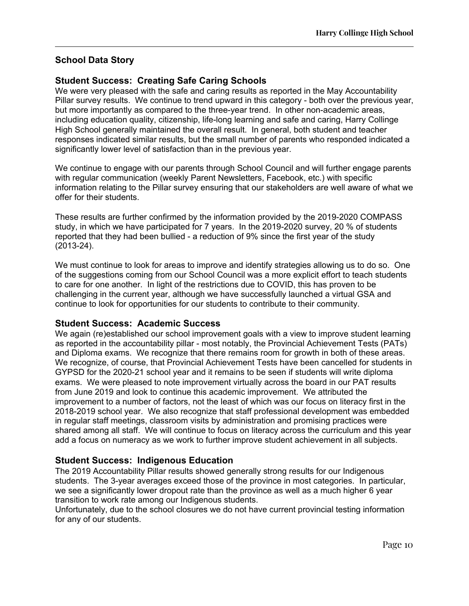#### **School Data Story**

#### **Student Success: Creating Safe Caring Schools**

We were very pleased with the safe and caring results as reported in the May Accountability Pillar survey results. We continue to trend upward in this category - both over the previous year, but more importantly as compared to the three-year trend. In other non-academic areas, including education quality, citizenship, life-long learning and safe and caring, Harry Collinge High School generally maintained the overall result. In general, both student and teacher responses indicated similar results, but the small number of parents who responded indicated a significantly lower level of satisfaction than in the previous year.

We continue to engage with our parents through School Council and will further engage parents with regular communication (weekly Parent Newsletters, Facebook, etc.) with specific information relating to the Pillar survey ensuring that our stakeholders are well aware of what we offer for their students.

These results are further confirmed by the information provided by the 2019-2020 COMPASS study, in which we have participated for 7 years. In the 2019-2020 survey, 20 % of students reported that they had been bullied - a reduction of 9% since the first year of the study (2013-24).

We must continue to look for areas to improve and identify strategies allowing us to do so. One of the suggestions coming from our School Council was a more explicit effort to teach students to care for one another. In light of the restrictions due to COVID, this has proven to be challenging in the current year, although we have successfully launched a virtual GSA and continue to look for opportunities for our students to contribute to their community.

#### **Student Success: Academic Success**

We again (re)established our school improvement goals with a view to improve student learning as reported in the accountability pillar - most notably, the Provincial Achievement Tests (PATs) and Diploma exams. We recognize that there remains room for growth in both of these areas. We recognize, of course, that Provincial Achievement Tests have been cancelled for students in GYPSD for the 2020-21 school year and it remains to be seen if students will write diploma exams. We were pleased to note improvement virtually across the board in our PAT results from June 2019 and look to continue this academic improvement. We attributed the improvement to a number of factors, not the least of which was our focus on literacy first in the 2018-2019 school year. We also recognize that staff professional development was embedded in regular staff meetings, classroom visits by administration and promising practices were shared among all staff. We will continue to focus on literacy across the curriculum and this year add a focus on numeracy as we work to further improve student achievement in all subjects.

#### **Student Success: Indigenous Education**

The 2019 Accountability Pillar results showed generally strong results for our Indigenous students. The 3-year averages exceed those of the province in most categories. In particular, we see a significantly lower dropout rate than the province as well as a much higher 6 year transition to work rate among our Indigenous students.

Unfortunately, due to the school closures we do not have current provincial testing information for any of our students.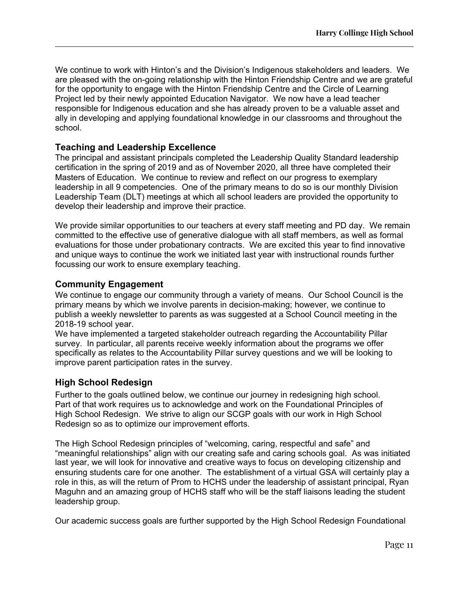We continue to work with Hinton's and the Division's Indigenous stakeholders and leaders. We are pleased with the on-going relationship with the Hinton Friendship Centre and we are grateful for the opportunity to engage with the Hinton Friendship Centre and the Circle of Learning Project led by their newly appointed Education Navigator. We now have a lead teacher responsible for Indigenous education and she has already proven to be a valuable asset and ally in developing and applying foundational knowledge in our classrooms and throughout the school.

#### **Teaching and Leadership Excellence**

The principal and assistant principals completed the Leadership Quality Standard leadership certification in the spring of 2019 and as of November 2020, all three have completed their Masters of Education. We continue to review and reflect on our progress to exemplary leadership in all 9 competencies. One of the primary means to do so is our monthly Division Leadership Team (DLT) meetings at which all school leaders are provided the opportunity to develop their leadership and improve their practice.

We provide similar opportunities to our teachers at every staff meeting and PD day. We remain committed to the effective use of generative dialogue with all staff members, as well as formal evaluations for those under probationary contracts. We are excited this year to find innovative and unique ways to continue the work we initiated last year with instructional rounds further focussing our work to ensure exemplary teaching.

#### **Community Engagement**

We continue to engage our community through a variety of means. Our School Council is the primary means by which we involve parents in decision-making; however, we continue to publish a weekly newsletter to parents as was suggested at a School Council meeting in the 2018-19 school year.

We have implemented a targeted stakeholder outreach regarding the Accountability Pillar survey. In particular, all parents receive weekly information about the programs we offer specifically as relates to the Accountability Pillar survey questions and we will be looking to improve parent participation rates in the survey.

#### **High School Redesign**

Further to the goals outlined below, we continue our journey in redesigning high school. Part of that work requires us to acknowledge and work on the Foundational Principles of High School Redesign. We strive to align our SCGP goals with our work in High School Redesign so as to optimize our improvement efforts.

The High School Redesign principles of "welcoming, caring, respectful and safe" and "meaningful relationships" align with our creating safe and caring schools goal. As was initiated last year, we will look for innovative and creative ways to focus on developing citizenship and ensuring students care for one another. The establishment of a virtual GSA will certainly play a role in this, as will the return of Prom to HCHS under the leadership of assistant principal, Ryan Maguhn and an amazing group of HCHS staff who will be the staff liaisons leading the student leadership group.

Our academic success goals are further supported by the High School Redesign Foundational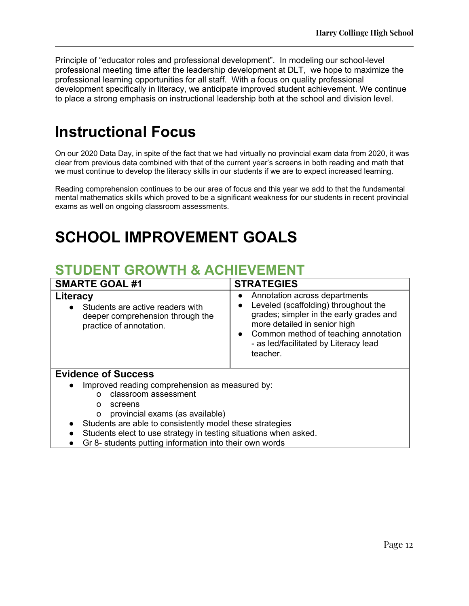Principle of "educator roles and professional development". In modeling our school-level professional meeting time after the leadership development at DLT, we hope to maximize the professional learning opportunities for all staff. With a focus on quality professional development specifically in literacy, we anticipate improved student achievement. We continue to place a strong emphasis on instructional leadership both at the school and division level.

### **Instructional Focus**

On our 2020 Data Day, in spite of the fact that we had virtually no provincial exam data from 2020, it was clear from previous data combined with that of the current year's screens in both reading and math that we must continue to develop the literacy skills in our students if we are to expect increased learning.

Reading comprehension continues to be our area of focus and this year we add to that the fundamental mental mathematics skills which proved to be a significant weakness for our students in recent provincial exams as well on ongoing classroom assessments.

# **SCHOOL IMPROVEMENT GOALS**

### **STUDENT GROWTH & ACHIEVEMENT**

| <b>SMARTE GOAL #1</b>                                                                                                                                   | <b>STRATEGIES</b>                                                                                                                                                                                                                                                         |  |  |
|---------------------------------------------------------------------------------------------------------------------------------------------------------|---------------------------------------------------------------------------------------------------------------------------------------------------------------------------------------------------------------------------------------------------------------------------|--|--|
| Literacy<br>Students are active readers with<br>deeper comprehension through the<br>practice of annotation.                                             | Annotation across departments<br>$\bullet$<br>Leveled (scaffolding) throughout the<br>$\bullet$<br>grades; simpler in the early grades and<br>more detailed in senior high<br>• Common method of teaching annotation<br>- as led/facilitated by Literacy lead<br>teacher. |  |  |
| <b>Evidence of Success</b>                                                                                                                              |                                                                                                                                                                                                                                                                           |  |  |
| Improved reading comprehension as measured by:<br>$\bullet$<br>classroom assessment<br>$\Omega$<br>screens<br>O<br>provincial exams (as available)<br>O |                                                                                                                                                                                                                                                                           |  |  |
| Students are able to consistently model these strategies                                                                                                |                                                                                                                                                                                                                                                                           |  |  |

- Students elect to use strategy in testing situations when asked.
- Gr 8- students putting information into their own words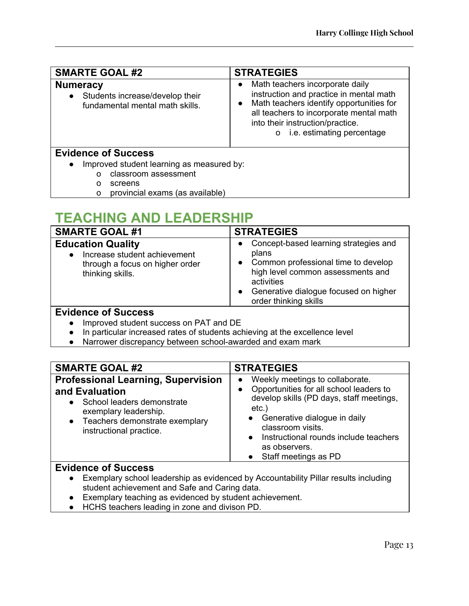| <b>SMARTE GOAL #2</b>                                                                              | <b>STRATEGIES</b>                                                                                                                                                                                                                                                  |  |  |
|----------------------------------------------------------------------------------------------------|--------------------------------------------------------------------------------------------------------------------------------------------------------------------------------------------------------------------------------------------------------------------|--|--|
| <b>Numeracy</b><br>Students increase/develop their<br>$\bullet$<br>fundamental mental math skills. | Math teachers incorporate daily<br>$\bullet$<br>instruction and practice in mental math<br>Math teachers identify opportunities for<br>$\bullet$<br>all teachers to incorporate mental math<br>into their instruction/practice.<br>i.e. estimating percentage<br>O |  |  |
| <b>Evidence of Success</b><br>Improved student learning as measured by:<br>$\bullet$               |                                                                                                                                                                                                                                                                    |  |  |
| classroom assessment<br>$\Omega$<br>screens                                                        |                                                                                                                                                                                                                                                                    |  |  |

o provincial exams (as available)

### **TEACHING AND LEADERSHIP**

| <b>STRATEGIES</b><br>Concept-based learning strategies and<br>$\bullet$<br>plans<br>Common professional time to develop<br>$\bullet$<br>high level common assessments and<br>activities<br>Generative dialogue focused on higher<br>$\bullet$<br>order thinking skills |  |  |
|------------------------------------------------------------------------------------------------------------------------------------------------------------------------------------------------------------------------------------------------------------------------|--|--|
|                                                                                                                                                                                                                                                                        |  |  |
|                                                                                                                                                                                                                                                                        |  |  |

- Improved student success on PAT and DE
- In particular increased rates of students achieving at the excellence level
- Narrower discrepancy between school-awarded and exam mark

| <b>SMARTE GOAL #2</b>                                                                                                                                                                        | <b>STRATEGIES</b>                                                                                                                                                                                                                                                                                                             |  |  |  |
|----------------------------------------------------------------------------------------------------------------------------------------------------------------------------------------------|-------------------------------------------------------------------------------------------------------------------------------------------------------------------------------------------------------------------------------------------------------------------------------------------------------------------------------|--|--|--|
| <b>Professional Learning, Supervision</b><br>and Evaluation<br>School leaders demonstrate<br>exemplary leadership.<br>Teachers demonstrate exemplary<br>$\bullet$<br>instructional practice. | Weekly meetings to collaborate.<br>$\bullet$<br>Opportunities for all school leaders to<br>$\bullet$<br>develop skills (PD days, staff meetings,<br>$etc.$ )<br>Generative dialogue in daily<br>$\bullet$<br>classroom visits.<br>Instructional rounds include teachers<br>$\bullet$<br>as observers.<br>Staff meetings as PD |  |  |  |
| <b>Evidence of Success</b><br>Exemplary school leadership as evidenced by Accountability Pillar results including<br>$\bullet$<br>student achievement and Safe and Caring data.              |                                                                                                                                                                                                                                                                                                                               |  |  |  |

- Exemplary teaching as evidenced by student achievement.
- HCHS teachers leading in zone and divison PD.